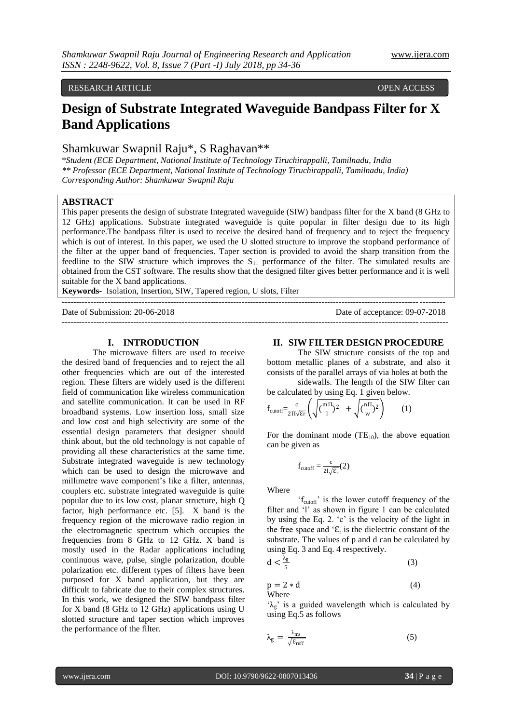## RESEARCH ARTICLE **CONTRACT ARTICLE** AND A SECRET ASSESSED OPEN ACCESS OPEN ACCESS

# **Design of Substrate Integrated Waveguide Bandpass Filter for X Band Applications**

# Shamkuwar Swapnil Raju\*, S Raghavan\*\*

\**Student (ECE Department, National Institute of Technology Tiruchirappalli, Tamilnadu, India \*\* Professor (ECE Department, National Institute of Technology Tiruchirappalli, Tamilnadu, India) Corresponding Author: Shamkuwar Swapnil Raju* 

# **ABSTRACT**

This paper presents the design of substrate Integrated waveguide (SIW) bandpass filter for the X band (8 GHz to 12 GHz) applications. Substrate integrated waveguide is quite popular in filter design due to its high performance.The bandpass filter is used to receive the desired band of frequency and to reject the frequency which is out of interest. In this paper, we used the U slotted structure to improve the stopband performance of the filter at the upper band of frequencies. Taper section is provided to avoid the sharp transition from the feedline to the SIW structure which improves the  $S_{11}$  performance of the filter. The simulated results are obtained from the CST software. The results show that the designed filter gives better performance and it is well suitable for the X band applications.

--------------------------------------------------------------------------------------------------------------------------------------

**Keywords-** Isolation, Insertion, SIW, Tapered region, U slots, Filter

Date of Submission: 20-06-2018 Date of acceptance: 09-07-2018 ---------------------------------------------------------------------------------------------------------------------------------------

#### **I. INTRODUCTION**

The microwave filters are used to receive the desired band of frequencies and to reject the all other frequencies which are out of the interested region. These filters are widely used is the different field of communication like wireless communication and satellite communication. It can be used in RF broadband systems. Low insertion loss, small size and low cost and high selectivity are some of the essential design parameters that designer should think about, but the old technology is not capable of providing all these characteristics at the same time. Substrate integrated waveguide is new technology which can be used to design the microwave and millimetre wave component's like a filter, antennas, couplers etc. substrate integrated waveguide is quite popular due to its low cost, planar structure, high Q factor, high performance etc. [5]. X band is the frequency region of the microwave radio region in the electromagnetic spectrum which occupies the frequencies from 8 GHz to 12 GHz. X band is mostly used in the Radar applications including continuous wave, pulse, single polarization, double polarization etc. different types of filters have been purposed for X band application, but they are difficult to fabricate due to their complex structures. In this work, we designed the SIW bandpass filter for X band (8 GHz to 12 GHz) applications using U slotted structure and taper section which improves the performance of the filter.

#### **II. SIW FILTER DESIGN PROCEDURE**

The SIW structure consists of the top and bottom metallic planes of a substrate, and also it consists of the parallel arrays of via holes at both the

sidewalls. The length of the SIW filter can be calculated by using Eq. 1 given below.

$$
f_{\text{cutoff}} = \frac{c}{2\Pi\sqrt{\epsilon r}} \left( \sqrt{\left(\frac{m\Pi}{1}\right)^2} + \sqrt{\left(\frac{n\Pi}{w}\right)^2} \right) \tag{1}
$$

For the dominant mode  $(TE_{10})$ , the above equation can be given as

$$
f_{\text{cutoff}} = \frac{c}{2l\sqrt{\epsilon_r}}(2)
$$

Where

'f<sub>cutoff</sub>' is the lower cutoff frequency of the filter and 'l' as shown in figure 1 can be calculated by using the Eq. 2. "c" is the velocity of the light in the free space and  $\mathcal{E}_r$  is the dielectric constant of the substrate. The values of p and d can be calculated by using Eq. 3 and Eq. 4 respectively.

$$
d < \frac{\lambda_g}{5} \tag{3}
$$

$$
p = 2 * d \tag{4}
$$
 where

' $\lambda_g$ ' is a guided wavelength which is calculated by using Eq.5 as follows

$$
\lambda_{\rm g} = \frac{\lambda_{\rm ms}}{\sqrt{\varepsilon_{\rm reff}}} \tag{5}
$$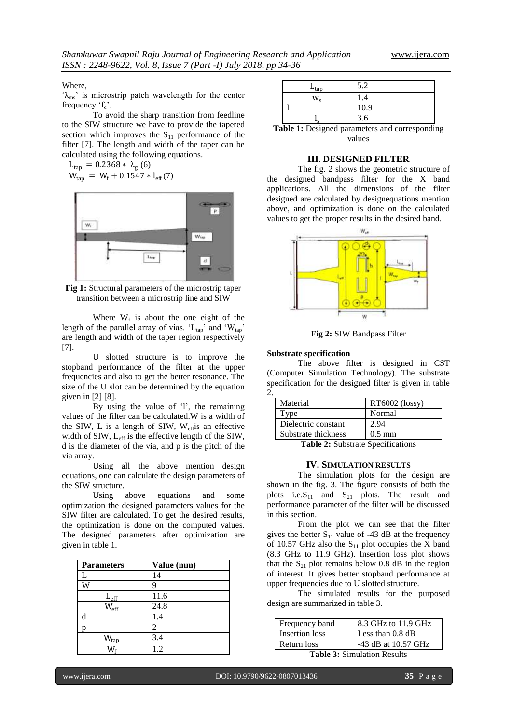#### Where,

' $\lambda_{\rm ms}$ ' is microstrip patch wavelength for the center frequency  $f_c$ .

To avoid the sharp transition from feedline to the SIW structure we have to provide the tapered section which improves the  $S_{11}$  performance of the filter [7]. The length and width of the taper can be calculated using the following equations.

$$
L_{\text{tap}} = 0.2368 * \lambda_{\text{g}} (6)
$$
  
W<sub>tap</sub> = W<sub>f</sub> + 0.1547 \* l<sub>eff</sub> (7)



**Fig 1:** Structural parameters of the microstrip taper transition between a microstrip line and SIW

Where  $W_f$  is about the one eight of the length of the parallel array of vias. ' $L_{tap}$ ' and ' $W_{tap}$ ' are length and width of the taper region respectively [7].

U slotted structure is to improve the stopband performance of the filter at the upper frequencies and also to get the better resonance. The size of the U slot can be determined by the equation given in [2] [8].

By using the value of 'l', the remaining values of the filter can be calculated.W is a width of the SIW, L is a length of SIW, Weffis an effective width of SIW, Leff is the effective length of the SIW, d is the diameter of the via, and p is the pitch of the via array.

Using all the above mention design equations, one can calculate the design parameters of the SIW structure.

Using above equations and some optimization the designed parameters values for the SIW filter are calculated. To get the desired results, the optimization is done on the computed values. The designed parameters after optimization are given in table 1.

| <b>Parameters</b>         | Value (mm) |
|---------------------------|------------|
| L                         | 14         |
| Ŵ                         | 9          |
| $L_{\text{eff}}$          | 11.6       |
| $W_{\text{eff}}$          | 24.8       |
| d                         | 1.4        |
|                           | 2          |
| $\mathsf{W}_{\text{tap}}$ | 3.4        |
| W.                        | 1.2        |

| $L_{\rm tap}$                             | 5.2           |
|-------------------------------------------|---------------|
| w                                         | 1.4           |
|                                           | 10.9          |
| $\mathbf{\Gamma}$                         | 3.6           |
| - -<br>$\sim$<br>$\overline{\phantom{a}}$ | $\sim$ $\sim$ |

**Table 1:** Designed parameters and corresponding values

#### **III. DESIGNED FILTER**

The fig. 2 shows the geometric structure of the designed bandpass filter for the X band applications. All the dimensions of the filter designed are calculated by designequations mention above, and optimization is done on the calculated values to get the proper results in the desired band.



**Fig 2:** SIW Bandpass Filter

#### **Substrate specification**

The above filter is designed in CST (Computer Simulation Technology). The substrate specification for the designed filter is given in table 2.

| Material            | RT6002 (lossy)   |
|---------------------|------------------|
| Type                | Normal           |
| Dielectric constant | 2.94             |
| Substrate thickness | $0.5 \text{ mm}$ |

**Table 2:** Substrate Specifications

#### **IV. SIMULATION RESULTS**

The simulation plots for the design are shown in the fig. 3. The figure consists of both the plots i.e.  $S_{11}$  and  $S_{21}$  plots. The result and performance parameter of the filter will be discussed in this section.

From the plot we can see that the filter gives the better  $S_{11}$  value of -43 dB at the frequency of 10.57 GHz also the  $S_{11}$  plot occupies the X band (8.3 GHz to 11.9 GHz). Insertion loss plot shows that the  $S_{21}$  plot remains below 0.8 dB in the region of interest. It gives better stopband performance at upper frequencies due to U slotted structure.

The simulated results for the purposed design are summarized in table 3.

| Frequency band | 8.3 GHz to 11.9 GHz         |
|----------------|-----------------------------|
| Insertion loss | Less than 0.8 dB            |
| Return loss    | -43 dB at 10.57 GHz         |
|                | $\sim$ $\sim$ $\sim$ $\sim$ |

**Table 3:** Simulation Results